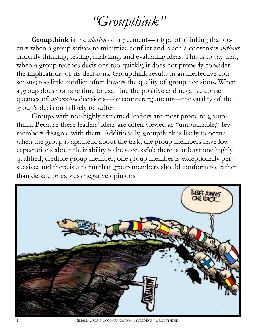## *"Groupthink"*

**Groupthink** is the *illusion* of agreement—a type of thinking that occurs when a group strives to minimize conflict and reach a consensus *without*  critically thinking, testing, analyzing, and evaluating ideas. This is to say that, when a group reaches decisions too quickly, it does not properly consider the implications of its decisions. Groupthink results in an ineffective consensus; too little conflict often lowers the quality of group decisions. When a group does not take time to examine the positive and negative consequences of *alternative* decisions—or counterarguments—the quality of the group's decision is likely to suffer.

Groups with too-highly esteemed leaders are most prone to groupthink. Because these leaders' ideas are often viewed as "untouchable," few members disagree with them. Additionally, groupthink is likely to occur when the group is apathetic about the task; the group members have low expectations about their ability to be successful; there is at least one highly qualified, credible group member; one group member is exceptionally persuasive; and there is a norm that group members should conform to, rather than debate or express negative opinions.



1 SMALL-GROUP COMMUNICATION: AVOIDING "GROUPTHINK"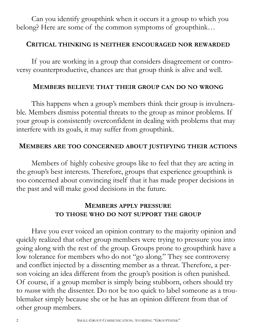Can you identify groupthink when it occurs it a group to which you belong? Here are some of the common symptoms of groupthink…

#### **CRITICAL THINKING IS NEITHER ENCOURAGED NOR REWARDED**

If you are working in a group that considers disagreement or controversy counterproductive, chances are that group think is alive and well.

#### **MEMBERS BELIEVE THAT THEIR GROUP CAN DO NO WRONG**

This happens when a group's members think their group is invulnerable. Members dismiss potential threats to the group as minor problems. If your group is consistently overconfident in dealing with problems that may interfere with its goals, it may suffer from groupthink.

#### **MEMBERS ARE TOO CONCERNED ABOUT JUSTIFYING THEIR ACTIONS**

Members of highly cohesive groups like to feel that they are acting in the group's best interests. Therefore, groups that experience groupthink is too concerned about convincing itself that it has made proper decisions in the past and will make good decisions in the future.

### **MEMBERS APPLY PRESSURE TO THOSE WHO DO NOT SUPPORT THE GROUP**

Have you ever voiced an opinion contrary to the majority opinion and quickly realized that other group members were trying to pressure you into going along with the rest of the group. Groups prone to groupthink have a low tolerance for members who do not "go along." They see controversy and conflict injected by a dissenting member as a threat. Therefore, a person voicing an idea different from the group's position is often punished. Of course, if a group member is simply being stubborn, others should try to *reason* with the dissenter. Do not be too quick to label someone as a troublemaker simply because she or he has an opinion different from that of other group members.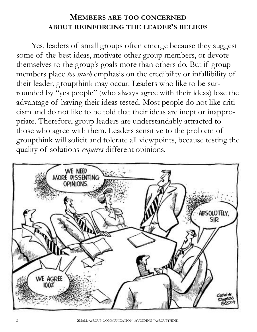### **MEMBERS ARE TOO CONCERNED ABOUT REINFORCING THE LEADER'S BELIEFS**

Yes, leaders of small groups often emerge because they suggest some of the best ideas, motivate other group members, or devote themselves to the group's goals more than others do. But if group members place *too much* emphasis on the credibility or infallibility of their leader, groupthink may occur. Leaders who like to be surrounded by "yes people" (who always agree with their ideas) lose the advantage of having their ideas tested. Most people do not like criticism and do not like to be told that their ideas are inept or inappropriate. Therefore, group leaders are understandably attracted to those who agree with them. Leaders sensitive to the problem of groupthink will solicit and tolerate all viewpoints, because testing the quality of solutions *requires* different opinions.

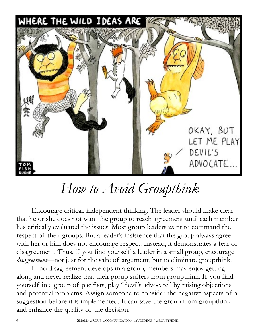

# *How to Avoid Groupthink*

Encourage critical, independent thinking. The leader should make clear that he or she does not want the group to reach agreement until each member has critically evaluated the issues. Most group leaders want to command the respect of their groups. But a leader's insistence that the group always agree with her or him does not encourage respect. Instead, it demonstrates a fear of disagreement. Thus, if you find yourself a leader in a small group, encourage *disagreement*—not just for the sake of argument, but to eliminate groupthink.

If no disagreement develops in a group, members may enjoy getting along and never realize that their group suffers from groupthink. If you find yourself in a group of pacifists, play "devil's advocate" by raising objections and potential problems. Assign someone to consider the negative aspects of a suggestion before it is implemented. It can save the group from groupthink and enhance the quality of the decision.